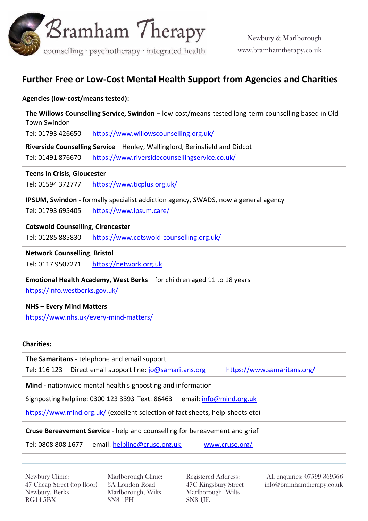

# **Further Free or Low-Cost Mental Health Support from Agencies and Charities**

#### **Agencies (low-cost/means tested):**

**The Willows Counselling Service, Swindon** – low-cost/means-tested long-term counselling based in Old Town Swindon

Tel: 01793 426650 <https://www.willowscounselling.org.uk/>

**Riverside Counselling Service** – Henley, Wallingford, Berinsfield and Didcot

Tel: 01491 876670 <https://www.riversidecounsellingservice.co.uk/>

#### **Teens in Crisis, Gloucester**

Tel: [01594 372777](https://www.google.com/search?q=teens+in+crisis&oq=teens+in+c&aqs=chrome.0.0j69i57.3969j0j7&sourceid=chrome&ie=UTF-8) <https://www.ticplus.org.uk/>

**IPSUM, Swindon -** formally specialist addiction agency, SWADS, now a general agency

Tel: [01793 695405](https://www.google.com/search?q=swads+swindon&oq=swads&aqs=chrome.1.69i57j0l7.4199j0j7&sourceid=chrome&ie=UTF-8) <https://www.ipsum.care/>

#### **Cotswold Counselling**, **Cirencester**

Tel: [01285 885830](https://www.google.com/search?q=cotswold+cousnelling&oq=cotswold+cousnelling&aqs=chrome..69i57j0l7.12111j0j7&sourceid=chrome&ie=UTF-8) <https://www.cotswold-counselling.org.uk/>

**Network Counselling**, **Bristol**

Tel: [0117 9507271](https://www.google.com/search?q=network+counselling&oq=network&aqs=chrome.2.69i57j46j0l6.7089j0j7&sourceid=chrome&ie=UTF-8) [https://network.org.uk](https://network.org.uk/)

# **Emotional Health Academy, West Berks** – for children aged 11 to 18 years

[https://info.westberks.gov.uk/](https://info.westberks.gov.uk/index.aspx?articleid=35806)

#### **NHS – Every Mind Matters**

<https://www.nhs.uk/every-mind-matters/>

#### **Charities:**

**The Samaritans -** telephone and email support Tel: 116 123 Direct email support line: [jo@samaritans.org](mailto:jo@samaritans.org) <https://www.samaritans.org/>

**Mind -** nationwide mental health signposting and information

Signposting helpline: 0300 123 3393 Text: 86463 email: [info@mind.org.uk](mailto:info@mind.org.uk)

<https://www.mind.org.uk/> (excellent selection of fact sheets, help-sheets etc)

#### **Cruse Bereavement Service** - help and counselling for bereavement and grief

Tel: 0808 808 1677 email: [helpline@cruse.org.uk](mailto:helpline@cruse.org.uk) [www.cruse.org/](http://www.cruse.org/)

Newbury Clinic: 47 Cheap Street (top floor) Newbury, Berks RG14 5BX

Marlborough Clinic: 6A London Road Marlborough, Wilts SN8 1PH

Registered Address: 47C Kingsbury Street Marlborough, Wilts SN8 1JE

All enquiries: 07599 369566 info@bramhamtherapy.co.uk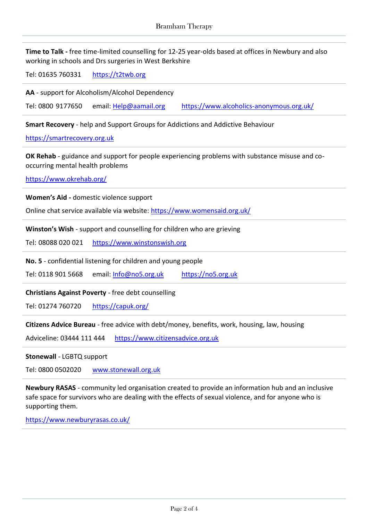**Time to Talk -** free time-limited counselling for 12-25 year-olds based at offices in Newbury and also working in schools and Drs surgeries in West Berkshire

Tel: 01635 760331 [https://t2twb.org](https://t2twb.org/)

**AA** - support for Alcoholism/Alcohol Dependency

Tel: 0800 9177650 email: [Help@aamail.org](mailto:Help@aamail.org) <https://www.alcoholics-anonymous.org.uk/>

**Smart Recovery** - help and Support Groups for Addictions and Addictive Behaviour

[https://smartrecovery.org.uk](https://smartrecovery.org.uk/)

**OK Rehab** - guidance and support for people experiencing problems with substance misuse and cooccurring mental health problems

<https://www.okrehab.org/>

**Women's Aid -** domestic violence support

Online chat service available via website[: https://www.womensaid.org.uk/](https://www.womensaid.org.uk/)

**Winston's Wish** - support and counselling for children who are grieving

Tel: 08088 020 021 [https://www.winstonswish.org](https://www.winstonswish.org/) 

**No. 5** - confidential listening for children and young people

Tel: 0118 901 5668 email: [Info@no5.org.uk](mailto:Info@no5.org.uk) [https://no5.org.uk](https://no5.org.uk/) 

**Christians Against Poverty** - free debt counselling

Tel: 01274 760720 <https://capuk.org/>

**Citizens Advice Bureau** - free advice with debt/money, benefits, work, housing, law, housing

Adviceline: 03444 111 444 [https://www.citizensadvice.org.uk](https://www.citizensadvice.org.uk/)

**Stonewall** - LGBTQ support

Tel: 0800 0502020 [www.stonewall.org.uk](http://www.stonewall.org.uk/)

**Newbury RASAS** - community led organisation created to provide an information hub and an inclusive safe space for survivors who are dealing with the effects of sexual violence, and for anyone who is supporting them.

<https://www.newburyrasas.co.uk/>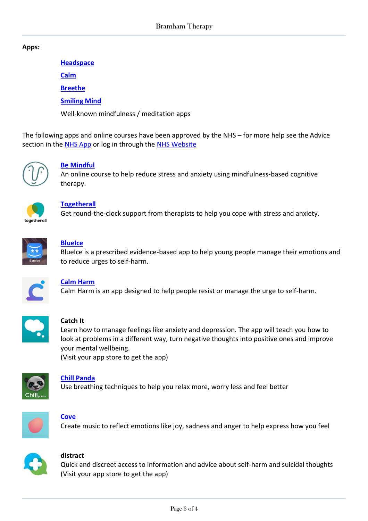#### **Apps:**

**[Headspace](https://www.headspace.com/)**

**[Calm](https://www.calm.com/)**

**[Breethe](https://breethe.com/)**

**[Smiling Mind](https://www.smilingmind.com.au/smiling-mind-app)**

Well-known mindfulness / meditation apps

The following apps and online courses have been approved by the NHS – for more help see the Advice section in the [NHS App](https://www.nhs.uk/nhs-app/) or log in through the [NHS Website](https://access.login.nhs.uk/enter-email)



# **[Be Mindful](https://www.wellmindhealth.com/courses/be-mindful)**

An online course to help reduce stress and anxiety using mindfulness-based cognitive therapy.



# **[Togetherall](https://togetherall.com/en-gb/)**

Get round-the-clock support from therapists to help you cope with stress and anxiety.



# **[BlueIce](https://www.oxfordhealth.nhs.uk/blueice/)**

BlueIce is a prescribed evidence-based app to help young people manage their emotions and to reduce urges to self-harm.



# **[Calm Harm](https://calmharm.co.uk/)**

Calm Harm is an app designed to help people resist or manage the urge to self-harm.



# **Catch It**

Learn how to manage feelings like anxiety and depression. The app will teach you how to look at problems in a different way, turn negative thoughts into positive ones and improve your mental wellbeing.

(Visit your app store to get the app)



# **[Chill Panda](http://chillpanda.co.uk/)**

Use breathing techniques to help you relax more, worry less and feel better



# **[Cove](http://www.cove-app.com/#about)**

Create music to reflect emotions like joy, sadness and anger to help express how you feel



# **distract**

Quick and discreet access to information and advice about self-harm and suicidal thoughts (Visit your app store to get the app)